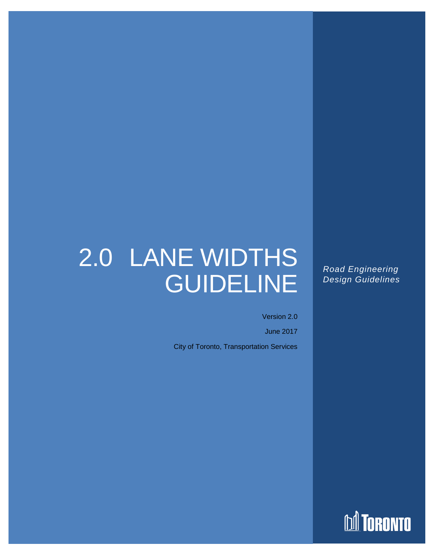# 2.0 LANE WIDTHS GUIDELINE

Road Engineering Design Guidelines Version 2.0 2.0 Lane Widths June 2017

> *Road Engineering Design Guidelines*

Version 2.0

June 2017 City of Toronto, Transportation Services

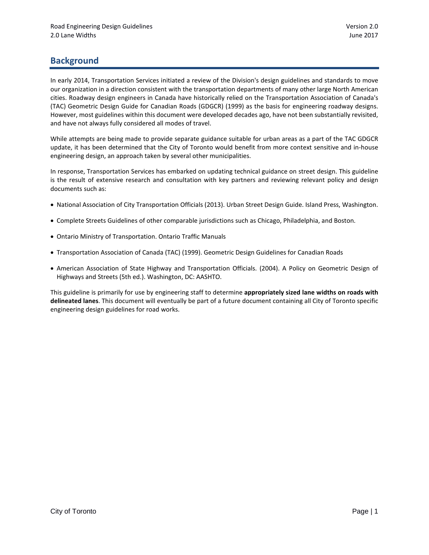# **Background**

In early 2014, Transportation Services initiated a review of the Division's design guidelines and standards to move our organization in a direction consistent with the transportation departments of many other large North American cities. Roadway design engineers in Canada have historically relied on the Transportation Association of Canada's (TAC) Geometric Design Guide for Canadian Roads (GDGCR) (1999) as the basis for engineering roadway designs. However, most guidelines within this document were developed decades ago, have not been substantially revisited, and have not always fully considered all modes of travel.

While attempts are being made to provide separate guidance suitable for urban areas as a part of the TAC GDGCR update, it has been determined that the City of Toronto would benefit from more context sensitive and in-house engineering design, an approach taken by several other municipalities.

In response, Transportation Services has embarked on updating technical guidance on street design. This guideline is the result of extensive research and consultation with key partners and reviewing relevant policy and design documents such as:

- National Association of City Transportation Officials (2013). Urban Street Design Guide. Island Press, Washington.
- Complete Streets Guidelines of other comparable jurisdictions such as Chicago, Philadelphia, and Boston.
- Ontario Ministry of Transportation. Ontario Traffic Manuals
- Transportation Association of Canada (TAC) (1999). Geometric Design Guidelines for Canadian Roads
- American Association of State Highway and Transportation Officials. (2004). A Policy on Geometric Design of Highways and Streets (5th ed.). Washington, DC: AASHTO.

This guideline is primarily for use by engineering staff to determine **appropriately sized lane widths on roads with delineated lanes**. This document will eventually be part of a future document containing all City of Toronto specific engineering design guidelines for road works.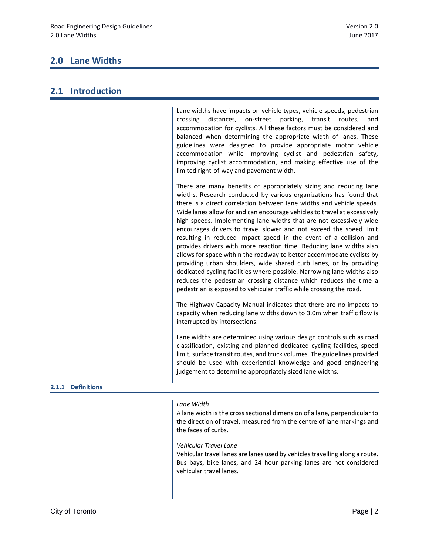# **2.0 Lane Widths**

Lane widths have impacts on vehicle types, vehicle speeds, pedestrian crossing distances, on-street parking, transit routes, and accommodation for cyclists. All these factors must be considered and balanced when determining the appropriate width of lanes. These guidelines were designed to provide appropriate motor vehicle accommodation while improving cyclist and pedestrian safety, improving cyclist accommodation, and making effective use of the limited right-of-way and pavement width.

There are many benefits of appropriately sizing and reducing lane widths. Research conducted by various organizations has found that there is a direct correlation between lane widths and vehicle speeds. Wide lanes allow for and can encourage vehicles to travel at excessively high speeds. Implementing lane widths that are not excessively wide encourages drivers to travel slower and not exceed the speed limit resulting in reduced impact speed in the event of a collision and provides drivers with more reaction time. Reducing lane widths also allows for space within the roadway to better accommodate cyclists by providing urban shoulders, wide shared curb lanes, or by providing dedicated cycling facilities where possible. Narrowing lane widths also reduces the pedestrian crossing distance which reduces the time a pedestrian is exposed to vehicular traffic while crossing the road.

The Highway Capacity Manual indicates that there are no impacts to capacity when reducing lane widths down to 3.0m when traffic flow is interrupted by intersections.

Lane widths are determined using various design controls such as road classification, existing and planned dedicated cycling facilities, speed limit, surface transit routes, and truck volumes. The guidelines provided should be used with experiential knowledge and good engineering judgement to determine appropriately sized lane widths.

## **2.1.1 Definitions**

## *Lane Width*

A lane width is the cross sectional dimension of a lane, perpendicular to the direction of travel, measured from the centre of lane markings and the faces of curbs.

#### *Vehicular Travel Lane*

Vehicular travel lanes are lanes used by vehicles travelling along a route. Bus bays, bike lanes, and 24 hour parking lanes are not considered vehicular travel lanes.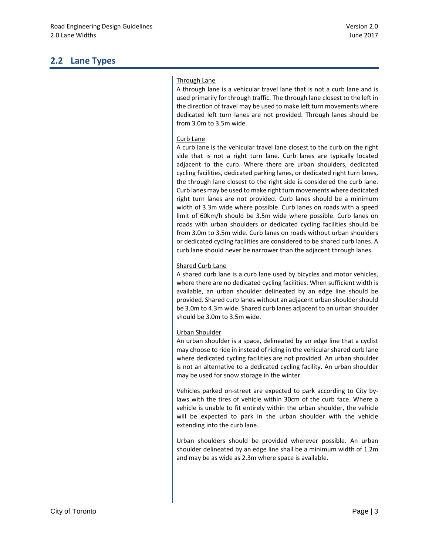# **2.2 Lane Types**

# Through Lane

A through lane is a vehicular travel lane that is not a curb lane and is used primarily for through traffic. The through lane closest to the left in the direction of travel may be used to make left turn movements where dedicated left turn lanes are not provided. Through lanes should be from 3.0m to 3.5m wide.

## Curb Lane

A curb lane is the vehicular travel lane closest to the curb on the right side that is not a right turn lane. Curb lanes are typically located adjacent to the curb. Where there are urban shoulders, dedicated cycling facilities, dedicated parking lanes, or dedicated right turn lanes, the through lane closest to the right side is considered the curb lane. Curb lanes may be used to make right turn movements where dedicated right turn lanes are not provided. Curb lanes should be a minimum width of 3.3m wide where possible. Curb lanes on roads with a speed limit of 60km/h should be 3.5m wide where possible. Curb lanes on roads with urban shoulders or dedicated cycling facilities should be from 3.0m to 3.5m wide. Curb lanes on roads without urban shoulders or dedicated cycling facilities are considered to be shared curb lanes. A curb lane should never be narrower than the adjacent through lanes.

# Shared Curb Lane

A shared curb lane is a curb lane used by bicycles and motor vehicles, where there are no dedicated cycling facilities. When sufficient width is available, an urban shoulder delineated by an edge line should be provided. Shared curb lanes without an adjacent urban shoulder should be 3.0m to 4.3m wide. Shared curb lanes adjacent to an urban shoulder should be 3.0m to 3.5m wide.

# Urban Shoulder

An urban shoulder is a space, delineated by an edge line that a cyclist may choose to ride in instead of riding in the vehicular shared curb lane where dedicated cycling facilities are not provided. An urban shoulder is not an alternative to a dedicated cycling facility. An urban shoulder may be used for snow storage in the winter.

Vehicles parked on-street are expected to park according to City bylaws with the tires of vehicle within 30cm of the curb face. Where a vehicle is unable to fit entirely within the urban shoulder, the vehicle will be expected to park in the urban shoulder with the vehicle extending into the curb lane.

Urban shoulders should be provided wherever possible. An urban shoulder delineated by an edge line shall be a minimum width of 1.2m and may be as wide as 2.3m where space is available.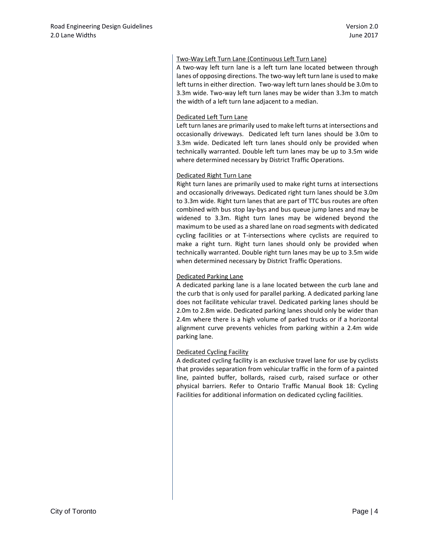### Two-Way Left Turn Lane (Continuous Left Turn Lane)

A two-way left turn lane is a left turn lane located between through lanes of opposing directions. The two-way left turn lane is used to make left turns in either direction. Two-way left turn lanes should be 3.0m to 3.3m wide. Two-way left turn lanes may be wider than 3.3m to match the width of a left turn lane adjacent to a median.

#### Dedicated Left Turn Lane

Left turn lanes are primarily used to make left turns at intersections and occasionally driveways. Dedicated left turn lanes should be 3.0m to 3.3m wide. Dedicated left turn lanes should only be provided when technically warranted. Double left turn lanes may be up to 3.5m wide where determined necessary by District Traffic Operations.

#### Dedicated Right Turn Lane

Right turn lanes are primarily used to make right turns at intersections and occasionally driveways. Dedicated right turn lanes should be 3.0m to 3.3m wide. Right turn lanes that are part of TTC bus routes are often combined with bus stop lay-bys and bus queue jump lanes and may be widened to 3.3m. Right turn lanes may be widened beyond the maximum to be used as a shared lane on road segments with dedicated cycling facilities or at T-intersections where cyclists are required to make a right turn. Right turn lanes should only be provided when technically warranted. Double right turn lanes may be up to 3.5m wide when determined necessary by District Traffic Operations.

## Dedicated Parking Lane

A dedicated parking lane is a lane located between the curb lane and the curb that is only used for parallel parking. A dedicated parking lane does not facilitate vehicular travel. Dedicated parking lanes should be 2.0m to 2.8m wide. Dedicated parking lanes should only be wider than 2.4m where there is a high volume of parked trucks or if a horizontal alignment curve prevents vehicles from parking within a 2.4m wide parking lane.

#### Dedicated Cycling Facility

A dedicated cycling facility is an exclusive travel lane for use by cyclists that provides separation from vehicular traffic in the form of a painted line, painted buffer, bollards, raised curb, raised surface or other physical barriers. Refer to Ontario Traffic Manual Book 18: Cycling Facilities for additional information on dedicated cycling facilities.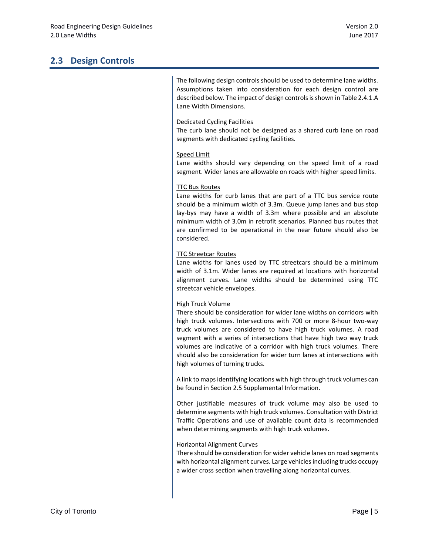# **2.3 Design Controls**

The following design controls should be used to determine lane widths. Assumptions taken into consideration for each design control are described below. The impact of design controls is shown in Table 2.4.1.A Lane Width Dimensions.

## Dedicated Cycling Facilities

The curb lane should not be designed as a shared curb lane on road segments with dedicated cycling facilities.

#### Speed Limit

Lane widths should vary depending on the speed limit of a road segment. Wider lanes are allowable on roads with higher speed limits.

#### TTC Bus Routes

Lane widths for curb lanes that are part of a TTC bus service route should be a minimum width of 3.3m. Queue jump lanes and bus stop lay-bys may have a width of 3.3m where possible and an absolute minimum width of 3.0m in retrofit scenarios. Planned bus routes that are confirmed to be operational in the near future should also be considered.

#### TTC Streetcar Routes

Lane widths for lanes used by TTC streetcars should be a minimum width of 3.1m. Wider lanes are required at locations with horizontal alignment curves. Lane widths should be determined using TTC streetcar vehicle envelopes.

#### High Truck Volume

There should be consideration for wider lane widths on corridors with high truck volumes. Intersections with 700 or more 8-hour two-way truck volumes are considered to have high truck volumes. A road segment with a series of intersections that have high two way truck volumes are indicative of a corridor with high truck volumes. There should also be consideration for wider turn lanes at intersections with high volumes of turning trucks.

A link to mapsidentifying locations with high through truck volumes can be found in Section 2.5 Supplemental Information.

Other justifiable measures of truck volume may also be used to determine segments with high truck volumes. Consultation with District Traffic Operations and use of available count data is recommended when determining segments with high truck volumes.

#### Horizontal Alignment Curves

There should be consideration for wider vehicle lanes on road segments with horizontal alignment curves. Large vehicles including trucks occupy a wider cross section when travelling along horizontal curves.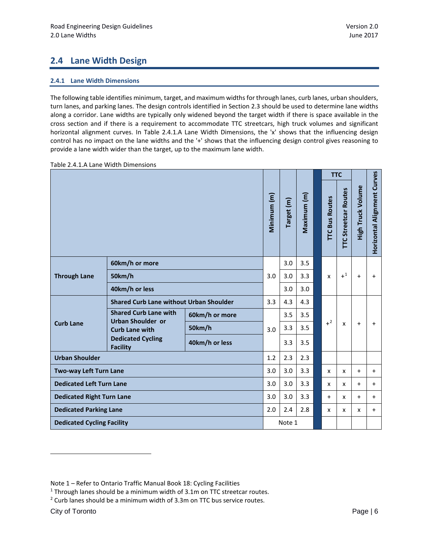# **2.4 Lane Width Design**

## **2.4.1 Lane Width Dimensions**

The following table identifies minimum, target, and maximum widths for through lanes, curb lanes, urban shoulders, turn lanes, and parking lanes. The design controls identified in Section 2.3 should be used to determine lane widths along a corridor. Lane widths are typically only widened beyond the target width if there is space available in the cross section and if there is a requirement to accommodate TTC streetcars, high truck volumes and significant horizontal alignment curves. In Table 2.4.1.A Lane Width Dimensions, the 'x' shows that the influencing design control has no impact on the lane widths and the '+' shows that the influencing design control gives reasoning to provide a lane width wider than the target, up to the maximum lane width.

|                                   |                                                                                                                                  |                |             |            |             | <b>TTC</b> |                       |                             |                   |                             |
|-----------------------------------|----------------------------------------------------------------------------------------------------------------------------------|----------------|-------------|------------|-------------|------------|-----------------------|-----------------------------|-------------------|-----------------------------|
|                                   |                                                                                                                                  |                | Minimum (m) | Target (m) | Maximum (m) |            | <b>TTC Bus Routes</b> | <b>TTC Streetcar Routes</b> | High Truck Volume | Horizontal Alignment Curves |
|                                   | 60km/h or more                                                                                                                   |                | 3.0         |            | 3.5         |            |                       |                             |                   |                             |
| <b>Through Lane</b>               | 50km/h                                                                                                                           |                | 3.0         | 3.0        | 3.3         |            | X                     | $+1$                        | $+$               | $\ddot{}$                   |
|                                   | 40km/h or less                                                                                                                   |                |             | 3.0        | 3.0         |            |                       |                             |                   |                             |
| <b>Curb Lane</b>                  | <b>Shared Curb Lane without Urban Shoulder</b>                                                                                   |                | 3.3         | 4.3        | 4.3         |            |                       |                             |                   |                             |
|                                   | <b>Shared Curb Lane with</b><br><b>Urban Shoulder or</b><br><b>Curb Lane with</b><br><b>Dedicated Cycling</b><br><b>Facility</b> | 60km/h or more | 3.0         | 3.5        | 3.5         |            | $+^2$                 | $\boldsymbol{\mathsf{x}}$   | $+$               | $\ddot{}$                   |
|                                   |                                                                                                                                  | 50km/h         |             | 3.3        | 3.5         |            |                       |                             |                   |                             |
|                                   |                                                                                                                                  | 40km/h or less |             | 3.3        | 3.5         |            |                       |                             |                   |                             |
| <b>Urban Shoulder</b>             |                                                                                                                                  |                |             | 2.3        | 2.3         |            |                       |                             |                   |                             |
| Two-way Left Turn Lane            |                                                                                                                                  |                | 3.0         | 3.0        | 3.3         |            | x                     | x                           | $+$               | $\ddot{}$                   |
| <b>Dedicated Left Turn Lane</b>   |                                                                                                                                  |                | 3.0         | 3.0        | 3.3         |            | X                     | x                           | $+$               | $+$                         |
| <b>Dedicated Right Turn Lane</b>  |                                                                                                                                  |                | 3.0         | 3.0        | 3.3         |            | $+$                   | X                           | $+$               | $\ddot{}$                   |
| <b>Dedicated Parking Lane</b>     |                                                                                                                                  |                |             | 2.4        | 2.8         |            | X                     | x                           | x                 | $\ddot{}$                   |
| <b>Dedicated Cycling Facility</b> |                                                                                                                                  |                |             | Note 1     |             |            |                       |                             |                   |                             |

Table 2.4.1.A Lane Width Dimensions

-

<span id="page-6-0"></span>Note 1 – Refer to Ontario Traffic Manual Book 18: Cycling Facilities

<span id="page-6-1"></span><sup>&</sup>lt;sup>1</sup> Through lanes should be a minimum width of 3.1m on TTC streetcar routes.<br><sup>2</sup> Curb lanes should be a minimum width of 3.3m on TTC bus service routes.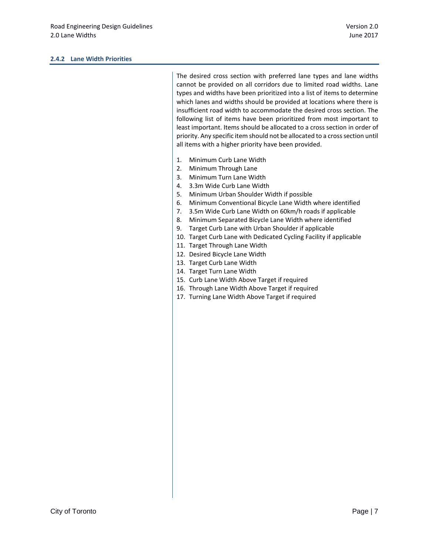The desired cross section with preferred lane types and lane widths cannot be provided on all corridors due to limited road widths. Lane types and widths have been prioritized into a list of items to determine which lanes and widths should be provided at locations where there is insufficient road width to accommodate the desired cross section. The following list of items have been prioritized from most important to least important. Items should be allocated to a cross section in order of priority. Any specific item should not be allocated to a cross section until all items with a higher priority have been provided.

- 1. Minimum Curb Lane Width
- 2. Minimum Through Lane
- 3. Minimum Turn Lane Width
- 4. 3.3m Wide Curb Lane Width
- 5. Minimum Urban Shoulder Width if possible
- 6. Minimum Conventional Bicycle Lane Width where identified
- 7. 3.5m Wide Curb Lane Width on 60km/h roads if applicable
- 8. Minimum Separated Bicycle Lane Width where identified
- 9. Target Curb Lane with Urban Shoulder if applicable
- 10. Target Curb Lane with Dedicated Cycling Facility if applicable
- 11. Target Through Lane Width
- 12. Desired Bicycle Lane Width
- 13. Target Curb Lane Width
- 14. Target Turn Lane Width
- 15. Curb Lane Width Above Target if required
- 16. Through Lane Width Above Target if required
- 17. Turning Lane Width Above Target if required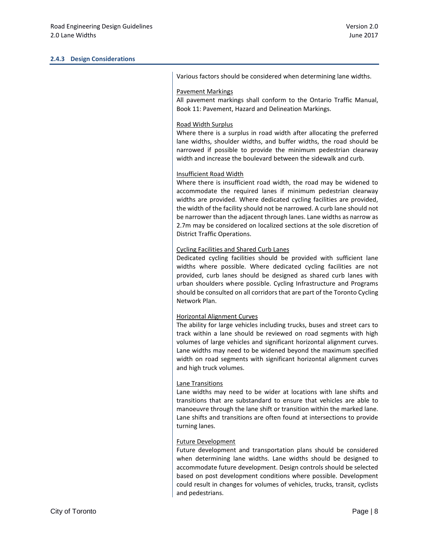| Various factors should be considered when determining lane widths.                                                                                                                                                                                                                                                                                                                                                                                                                                            |
|---------------------------------------------------------------------------------------------------------------------------------------------------------------------------------------------------------------------------------------------------------------------------------------------------------------------------------------------------------------------------------------------------------------------------------------------------------------------------------------------------------------|
| <b>Pavement Markings</b><br>All pavement markings shall conform to the Ontario Traffic Manual,<br>Book 11: Pavement, Hazard and Delineation Markings.                                                                                                                                                                                                                                                                                                                                                         |
| Road Width Surplus<br>Where there is a surplus in road width after allocating the preferred<br>lane widths, shoulder widths, and buffer widths, the road should be<br>narrowed if possible to provide the minimum pedestrian clearway<br>width and increase the boulevard between the sidewalk and curb.                                                                                                                                                                                                      |
| Insufficient Road Width<br>Where there is insufficient road width, the road may be widened to<br>accommodate the required lanes if minimum pedestrian clearway<br>widths are provided. Where dedicated cycling facilities are provided,<br>the width of the facility should not be narrowed. A curb lane should not<br>be narrower than the adjacent through lanes. Lane widths as narrow as<br>2.7m may be considered on localized sections at the sole discretion of<br><b>District Traffic Operations.</b> |
| <b>Cycling Facilities and Shared Curb Lanes</b><br>Dedicated cycling facilities should be provided with sufficient lane<br>widths where possible. Where dedicated cycling facilities are not<br>provided, curb lanes should be designed as shared curb lanes with<br>urban shoulders where possible. Cycling Infrastructure and Programs<br>should be consulted on all corridors that are part of the Toronto Cycling<br>Network Plan.                                                                        |
| <b>Horizontal Alignment Curves</b><br>The ability for large vehicles including trucks, buses and street cars to<br>track within a lane should be reviewed on road segments with high<br>volumes of large vehicles and significant horizontal alignment curves.<br>Lane widths may need to be widened beyond the maximum specified<br>width on road segments with significant horizontal alignment curves<br>and high truck volumes.                                                                           |
| <b>Lane Transitions</b><br>Lane widths may need to be wider at locations with lane shifts and<br>transitions that are substandard to ensure that vehicles are able to<br>manoeuvre through the lane shift or transition within the marked lane.<br>Lane shifts and transitions are often found at intersections to provide<br>turning lanes.                                                                                                                                                                  |
| <b>Future Development</b><br>Future development and transportation plans should be considered                                                                                                                                                                                                                                                                                                                                                                                                                 |

Future development and transportation plans should be considered when determining lane widths. Lane widths should be designed to accommodate future development. Design controls should be selected based on post development conditions where possible. Development could result in changes for volumes of vehicles, trucks, transit, cyclists and pedestrians.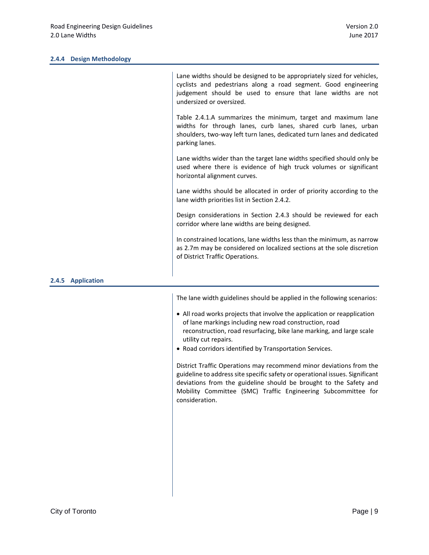#### **2.4.4 Design Methodology**

|                    | Lane widths should be designed to be appropriately sized for vehicles,<br>cyclists and pedestrians along a road segment. Good engineering<br>judgement should be used to ensure that lane widths are not<br>undersized or oversized. |
|--------------------|--------------------------------------------------------------------------------------------------------------------------------------------------------------------------------------------------------------------------------------|
|                    | Table 2.4.1.A summarizes the minimum, target and maximum lane<br>widths for through lanes, curb lanes, shared curb lanes, urban<br>shoulders, two-way left turn lanes, dedicated turn lanes and dedicated<br>parking lanes.          |
|                    | Lane widths wider than the target lane widths specified should only be<br>used where there is evidence of high truck volumes or significant<br>horizontal alignment curves.                                                          |
|                    | Lane widths should be allocated in order of priority according to the<br>lane width priorities list in Section 2.4.2.                                                                                                                |
|                    | Design considerations in Section 2.4.3 should be reviewed for each<br>corridor where lane widths are being designed.                                                                                                                 |
|                    | In constrained locations, lane widths less than the minimum, as narrow<br>as 2.7m may be considered on localized sections at the sole discretion<br>of District Traffic Operations.                                                  |
| <b>Application</b> |                                                                                                                                                                                                                                      |

The lane width guidelines should be applied in the following scenarios:

- All road works projects that involve the application or reapplication of lane markings including new road construction, road reconstruction, road resurfacing, bike lane marking, and large scale utility cut repairs.
- Road corridors identified by Transportation Services.

District Traffic Operations may recommend minor deviations from the guideline to address site specific safety or operational issues. Significant deviations from the guideline should be brought to the Safety and Mobility Committee (SMC) Traffic Engineering Subcommittee for consideration.

**2.4.5 Application**